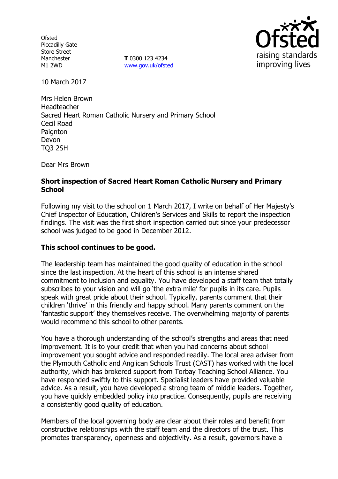**Ofsted** Piccadilly Gate Store Street Manchester M1 2WD

**T** 0300 123 4234 www.gov.uk/ofsted



10 March 2017

Mrs Helen Brown Headteacher Sacred Heart Roman Catholic Nursery and Primary School Cecil Road Paignton Devon TQ3 2SH

Dear Mrs Brown

## **Short inspection of Sacred Heart Roman Catholic Nursery and Primary School**

Following my visit to the school on 1 March 2017, I write on behalf of Her Majesty's Chief Inspector of Education, Children's Services and Skills to report the inspection findings. The visit was the first short inspection carried out since your predecessor school was judged to be good in December 2012.

## **This school continues to be good.**

The leadership team has maintained the good quality of education in the school since the last inspection. At the heart of this school is an intense shared commitment to inclusion and equality. You have developed a staff team that totally subscribes to your vision and will go 'the extra mile' for pupils in its care. Pupils speak with great pride about their school. Typically, parents comment that their children 'thrive' in this friendly and happy school. Many parents comment on the 'fantastic support' they themselves receive. The overwhelming majority of parents would recommend this school to other parents.

You have a thorough understanding of the school's strengths and areas that need improvement. It is to your credit that when you had concerns about school improvement you sought advice and responded readily. The local area adviser from the Plymouth Catholic and Anglican Schools Trust (CAST) has worked with the local authority, which has brokered support from Torbay Teaching School Alliance. You have responded swiftly to this support. Specialist leaders have provided valuable advice. As a result, you have developed a strong team of middle leaders. Together, you have quickly embedded policy into practice. Consequently, pupils are receiving a consistently good quality of education.

Members of the local governing body are clear about their roles and benefit from constructive relationships with the staff team and the directors of the trust. This promotes transparency, openness and objectivity. As a result, governors have a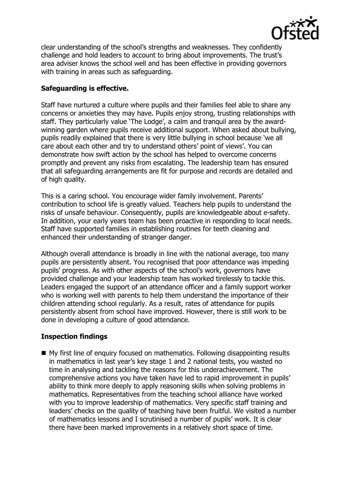

clear understanding of the school's strengths and weaknesses. They confidently challenge and hold leaders to account to bring about improvements. The trust's area adviser knows the school well and has been effective in providing governors with training in areas such as safeguarding.

## **Safeguarding is effective.**

Staff have nurtured a culture where pupils and their families feel able to share any concerns or anxieties they may have. Pupils enjoy strong, trusting relationships with staff. They particularly value 'The Lodge', a calm and tranquil area by the awardwinning garden where pupils receive additional support. When asked about bullying, pupils readily explained that there is very little bullying in school because 'we all care about each other and try to understand others' point of views'. You can demonstrate how swift action by the school has helped to overcome concerns promptly and prevent any risks from escalating. The leadership team has ensured that all safeguarding arrangements are fit for purpose and records are detailed and of high quality.

This is a caring school. You encourage wider family involvement. Parents' contribution to school life is greatly valued. Teachers help pupils to understand the risks of unsafe behaviour. Consequently, pupils are knowledgeable about e-safety. In addition, your early years team has been proactive in responding to local needs. Staff have supported families in establishing routines for teeth cleaning and enhanced their understanding of stranger danger.

Although overall attendance is broadly in line with the national average, too many pupils are persistently absent. You recognised that poor attendance was impeding pupils' progress. As with other aspects of the school's work, governors have provided challenge and your leadership team has worked tirelessly to tackle this. Leaders engaged the support of an attendance officer and a family support worker who is working well with parents to help them understand the importance of their children attending school regularly. As a result, rates of attendance for pupils persistently absent from school have improved. However, there is still work to be done in developing a culture of good attendance.

# **Inspection findings**

■ My first line of enquiry focused on mathematics. Following disappointing results in mathematics in last year's key stage 1 and 2 national tests, you wasted no time in analysing and tackling the reasons for this underachievement. The comprehensive actions you have taken have led to rapid improvement in pupils' ability to think more deeply to apply reasoning skills when solving problems in mathematics. Representatives from the teaching school alliance have worked with you to improve leadership of mathematics. Very specific staff training and leaders' checks on the quality of teaching have been fruitful. We visited a number of mathematics lessons and I scrutinised a number of pupils' work. It is clear there have been marked improvements in a relatively short space of time.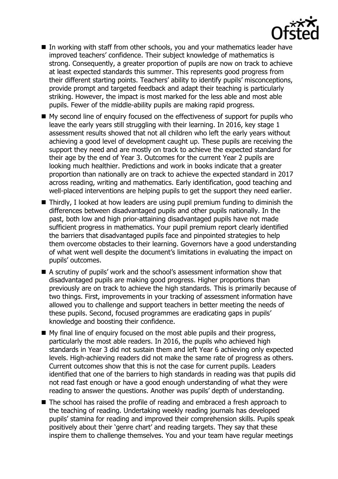

- In working with staff from other schools, you and your mathematics leader have improved teachers' confidence. Their subject knowledge of mathematics is strong. Consequently, a greater proportion of pupils are now on track to achieve at least expected standards this summer. This represents good progress from their different starting points. Teachers' ability to identify pupils' misconceptions, provide prompt and targeted feedback and adapt their teaching is particularly striking. However, the impact is most marked for the less able and most able pupils. Fewer of the middle-ability pupils are making rapid progress.
- My second line of enquiry focused on the effectiveness of support for pupils who leave the early years still struggling with their learning. In 2016, key stage 1 assessment results showed that not all children who left the early years without achieving a good level of development caught up. These pupils are receiving the support they need and are mostly on track to achieve the expected standard for their age by the end of Year 3. Outcomes for the current Year 2 pupils are looking much healthier. Predictions and work in books indicate that a greater proportion than nationally are on track to achieve the expected standard in 2017 across reading, writing and mathematics. Early identification, good teaching and well-placed interventions are helping pupils to get the support they need earlier.
- $\blacksquare$  Thirdly, I looked at how leaders are using pupil premium funding to diminish the differences between disadvantaged pupils and other pupils nationally. In the past, both low and high prior-attaining disadvantaged pupils have not made sufficient progress in mathematics. Your pupil premium report clearly identified the barriers that disadvantaged pupils face and pinpointed strategies to help them overcome obstacles to their learning. Governors have a good understanding of what went well despite the document's limitations in evaluating the impact on pupils' outcomes.
- A scrutiny of pupils' work and the school's assessment information show that disadvantaged pupils are making good progress. Higher proportions than previously are on track to achieve the high standards. This is primarily because of two things. First, improvements in your tracking of assessment information have allowed you to challenge and support teachers in better meeting the needs of these pupils. Second, focused programmes are eradicating gaps in pupils' knowledge and boosting their confidence.
- My final line of enquiry focused on the most able pupils and their progress, particularly the most able readers. In 2016, the pupils who achieved high standards in Year 3 did not sustain them and left Year 6 achieving only expected levels. High-achieving readers did not make the same rate of progress as others. Current outcomes show that this is not the case for current pupils. Leaders identified that one of the barriers to high standards in reading was that pupils did not read fast enough or have a good enough understanding of what they were reading to answer the questions. Another was pupils' depth of understanding.
- The school has raised the profile of reading and embraced a fresh approach to the teaching of reading. Undertaking weekly reading journals has developed pupils' stamina for reading and improved their comprehension skills. Pupils speak positively about their 'genre chart' and reading targets. They say that these inspire them to challenge themselves. You and your team have regular meetings